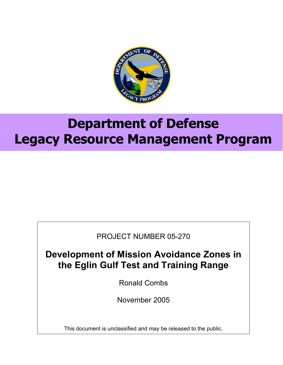

# **Department of Defense Legacy Resource Management Program**

PROJECT NUMBER 05-270

**Development of Mission Avoidance Zones in the Eglin Gulf Test and Training Range** 

Ronald Combs

November 2005

This document is unclassified and may be released to the public.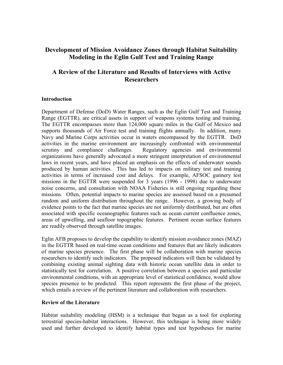## **Development of Mission Avoidance Zones through Habitat Suitability Modeling in the Eglin Gulf Test and Training Range**

## **A Review of the Literature and Results of Interviews with Active Researchers**

#### **Introduction**

Department of Defense (DoD) Water Ranges, such as the Eglin Gulf Test and Training Range (EGTTR), are critical assets in support of weapons systems testing and training. The EGTTR encompasses more than 124,000 square miles in the Gulf of Mexico and supports thousands of Air Force test and training flights annually. In addition, many Navy and Marine Corps activities occur in waters encompassed by the EGTTR. DoD activities in the marine environment are increasingly confronted with environmental scrutiny and compliance challenges. Regulatory agencies and environmental organizations have generally advocated a more stringent interpretation of environmental laws in recent years, and have placed an emphasis on the effects of underwater sounds produced by human activities. This has led to impacts on military test and training activities in terms of increased cost and delays. For example, AFSOC gunnery test missions in the EGTTR were suspended for 3 years (1996 - 1998) due to underwater noise concerns, and consultation with NOAA Fisheries is still ongoing regarding these missions. Often, potential impacts to marine species are assessed based on a presumed random and uniform distribution throughout the range. However, a growing body of evidence points to the fact that marine species are not uniformly distributed, but are often associated with specific oceanographic features such as ocean current confluence zones, areas of upwelling, and seafloor topographic features. Pertinent ocean surface features are readily observed through satellite images.

Eglin AFB proposes to develop the capability to identify mission avoidance zones (MAZ) in the EGTTR based on real-time ocean conditions and features that are likely indicators of marine species presence. The first phase will be collaboration with marine species researchers to identify such indicators. The proposed indicators will then be validated by combining existing animal sighting data with historic ocean satellite data in order to statistically test for correlation. A positive correlation between a species and particular environmental conditions, with an appropriate level of statistical confidence, would allow species presence to be predicted. This report represents the first phase of the project, which entails a review of the pertinent literature and collaboration with researchers.

#### **Review of the Literature**

Habitat suitability modeling (HSM) is a technique that began as a tool for exploring terrestrial species-habitat interactions. However, this technique is being more widely used and further developed to identify habitat types and test hypotheses for marine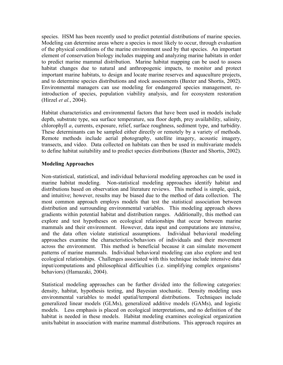species. HSM has been recently used to predict potential distributions of marine species. Modeling can determine areas where a species is most likely to occur, through evaluation of the physical conditions of the marine environment used by that species. An important element of conservation biology includes mapping and analyzing marine habitats in order to predict marine mammal distribution. Marine habitat mapping can be used to assess habitat changes due to natural and anthropogenic impacts, to monitor and protect important marine habitats, to design and locate marine reserves and aquaculture projects, and to determine species distributions and stock assessments (Baxter and Shortis, 2002). Environmental managers can use modeling for endangered species management, reintroduction of species, population viability analysis, and for ecosystem restoration (Hirzel *et al.*, 2004).

Habitat characteristics and environmental factors that have been used in models include depth, substrate type, sea surface temperature, sea floor depth, prey availability, salinity, chlorophyll *a*, currents, exposure, relief, surface roughness, sediment type, and turbidity. These determinants can be sampled either directly or remotely by a variety of methods. Remote methods include aerial photography, satellite imagery, acoustic imagery, transects, and video. Data collected on habitats can then be used in multivariate models to define habitat suitability and to predict species distributions (Baxter and Shortis, 2002).

#### **Modeling Approaches**

Non-statistical, statistical, and individual behavioral modeling approaches can be used in marine habitat modeling. Non-statistical modeling approaches identify habitat and distributions based on observation and literature reviews. This method is simple, quick, and intuitive; however, results may be biased due to the method of data collection. The most common approach employs models that test the statistical association between distribution and surrounding environmental variables. This modeling approach shows gradients within potential habitat and distribution ranges. Additionally, this method can explore and test hypotheses on ecological relationships that occur between marine mammals and their environment. However, data input and computations are intensive, and the data often violate statistical assumptions. Individual behavioral modeling approaches examine the characteristics/behaviors of individuals and their movement across the environment. This method is beneficial because it can simulate movement patterns of marine mammals. Individual behavioral modeling can also explore and test ecological relationships. Challenges associated with this technique include intensive data input/computations and philosophical difficulties (i.e. simplifying complex organisms' behaviors) (Hamazaki, 2004).

Statistical modeling approaches can be further divided into the following categories: density, habitat, hypothesis testing, and Bayesian stochastic. Density modeling uses environmental variables to model spatial/temporal distributions. Techniques include generalized linear models (GLMs), generalized additive models (GAMs), and logistic models. Less emphasis is placed on ecological interpretations, and no definition of the habitat is needed in these models. Habitat modeling examines ecological organization units/habitat in association with marine mammal distributions. This approach requires an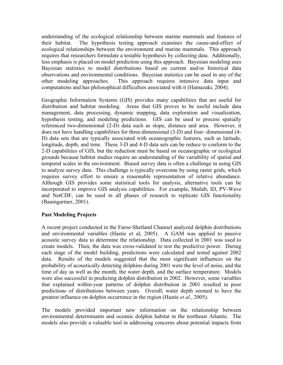understanding of the ecological relationship between marine mammals and features of their habitat. The hypothesis testing approach examines the cause-and-effect of ecological relationships between the environment and marine mammals. This approach requires that researchers formulate a testable hypothesis by collecting data. Additionally, less emphasis is placed on model prediction using this approach. Bayesian modeling uses Bayesian statistics to model distributions based on current and/or historical data observations and environmental conditions. Bayesian statistics can be used in any of the other modeling approaches. This approach requires intensive data input and computations and has philosophical difficulties associated with it (Hamazaki, 2004).

Geographic Information Systems (GIS) provides many capabilities that are useful for distribution and habitat modeling. Areas that GIS proves to be useful include data management, data processing, dynamic mapping, data exploration and visualization, hypothesis testing, and modeling predictions. GIS can be used to process spatially referenced two-dimensional (2-D) data such as slope, distance and area. However, it does not have handling capabilities for three-dimensional (3-D) and four- dimensional (4- D) data sets that are typically associated with oceanographic features, such as latitude, longitude, depth, and time. These 3-D and 4-D data sets can be reduce to conform to the 2-D capabilities of GIS, but the reduction must be based on oceanographic or ecological grounds because habitat studies require an understanding of the variability of spatial and temporal scales in the environment. Biased survey data is often a challenge in using GIS to analyze survey data. This challenge is typically overcome by using raster grids, which requires survey effort to ensure a reasonable representation of relative abundance. Although GIS provides some statistical tools for analysis, alternative tools can be incorporated to improve GIS analysis capabilities. For example, Matlab, ID, PV-Wave and NetCDF, can be used in all phases of research to replicate GIS functionality (Baumgartner, 2001).

#### **Past Modeling Projects**

A recent project conducted in the Faroe-Shetland Channel analyzed dolphin distributions and environmental variables (Hastie et al, 2005). A GAM was applied to passive acoustic survey data to determine the relationship. Data collected in 2001 was used to create models. Then, the data was cross-validated to test the predictive power. During each stage of the model building, predictions were calculated and tested against 2002 data. Results of the models suggested that the most significant influences on the probability of acoustically detecting dolphins during 2001 were the level of noise, and the time of day as well as the month, the water depth, and the surface temperature. Models were also successful in predicting dolphin distribution in 2002. However, some variables that explained within-year patterns of dolphin distribution in 2001 resulted in poor predictions of distributions between years. Overall, water depth seemed to have the greatest influence on dolphin occurrence in the region (Hastie *et al*., 2005).

The models provided important new information on the relationship between environmental determinants and oceanic dolphin habitat in the northeast Atlantic. The models also provide a valuable tool in addressing concerns about potential impacts from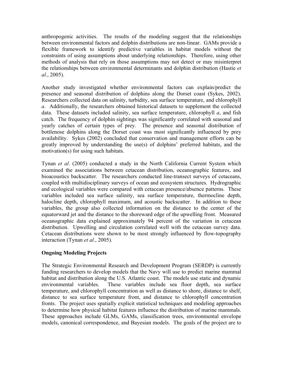anthropogenic activities. The results of the modeling suggest that the relationships between environmental factors and dolphin distributions are non-linear. GAMs provide a flexible framework to identify predictive variables in habitat models without the constraints of using assumptions about underlying relationships. Therefore, using other methods of analysis that rely on those assumptions may not detect or may misinterpret the relationships between environmental determinants and dolphin distribution (Hastie *et al*., 2005).

Another study investigated whether environmental factors can explain/predict the presence and seasonal distribution of dolphins along the Dorset coast (Sykes, 2002). Researchers collected data on salinity, turbidity, sea surface temperature, and chlorophyll *a*. Additionally, the researchers obtained historical datasets to supplement the collected data. These datasets included salinity, sea surface temperature, chlorophyll *a*, and fish catch. The frequency of dolphin sightings was significantly correlated with seasonal and yearly catches of certain types of prey. The presence and seasonal distribution of bottlenose dolphins along the Dorset coast was most significantly influenced by prey availability. Sykes (2002) concluded that conservation and management efforts can be greatly improved by understanding the use(s) of dolphins' preferred habitats, and the motivation(s) for using such habitats.

Tynan *et al*. (2005) conducted a study in the North California Current System which examined the associations between cetacean distribution, oceanographic features, and bioacoustics backscatter. The researchers conducted line-transect surveys of cetaceans, coupled with multidisciplinary surveys of ocean and ecosystem structures. Hydrographic and ecological variables were compared with cetacean presence/absence patterns. These variables included sea surface salinity, sea surface temperature, thermocline depth, halocline depth, chlorophyll maximum, and acoustic backscatter. In addition to these variables, the group also collected information on the distance to the center of the equatorward jet and the distance to the shoreward edge of the upwelling front. Measured oceanographic data explained approximately 94 percent of the variation in cetacean distribution. Upwelling and circulation correlated well with the cetacean survey data. Cetacean distributions were shown to be most strongly influenced by flow-topography interaction (Tynan *et al*., 2005).

### **Ongoing Modeling Projects**

The Strategic Environmental Research and Development Program (SERDP) is currently funding researchers to develop models that the Navy will use to predict marine mammal habitat and distribution along the U.S. Atlantic coast. The models use static and dynamic environmental variables. These variables include sea floor depth, sea surface temperature, and chlorophyll concentration as well as distance to shore, distance to shelf, distance to sea surface temperature front, and distance to chlorophyll concentration fronts. The project uses spatially explicit statistical techniques and modeling approaches to determine how physical habitat features influence the distribution of marine mammals. These approaches include GLMs, GAMs, classification trees, environmental envelope models, canonical correspondence, and Bayesian models. The goals of the project are to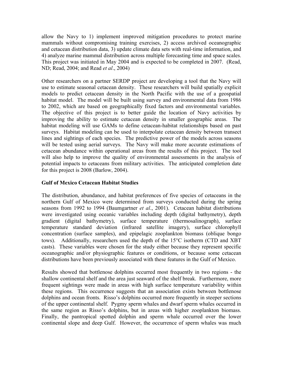allow the Navy to 1) implement improved mitigation procedures to protect marine mammals without compromising training exercises, 2) access archived oceanographic and cetacean distribution data, 3) update climate data sets with real-time information, and 4) analyze marine mammal distribution across multiple forecasting time and space scales. This project was initiated in May 2004 and is expected to be completed in 2007. (Read, ND; Read, 2004; and Read *et al*., 2004)

Other researchers on a partner SERDP project are developing a tool that the Navy will use to estimate seasonal cetacean density. These researchers will build spatially explicit models to predict cetacean density in the North Pacific with the use of a geospatial habitat model. The model will be built using survey and environmental data from 1986 to 2002, which are based on geographically fixed factors and environmental variables. The objective of this project is to better guide the location of Navy activities by improving the ability to estimate cetacean density in smaller geographic areas. The habitat modeling will use GAMs to define cetacean-habitat relationships based on past surveys. Habitat modeling can be used to interpolate cetacean density between transect lines and sightings of each species. The predictive power of the models across seasons will be tested using aerial surveys. The Navy will make more accurate estimations of cetacean abundance within operational areas from the results of this project. The tool will also help to improve the quality of environmental assessments in the analysis of potential impacts to cetaceans from military activities. The anticipated completion date for this project is 2008 (Barlow, 2004).

#### **Gulf of Mexico Cetacean Habitat Studies**

The distribution, abundance, and habitat preferences of five species of cetaceans in the northern Gulf of Mexico were determined from surveys conducted during the spring seasons from 1992 to 1994 (Baumgartner *et al*., 2001). Cetacean habitat distributions were investigated using oceanic variables including depth (digital bathymetry), depth gradient (digital bathymetry), surface temperature (thermosalinograph), surface temperature standard deviation (infrared satellite imagery), surface chlorophyll concentration (surface samples), and epipelagic zooplankton biomass (oblique bongo tows). Additionally, researchers used the depth of the 15°C isotherm (CTD and XBT casts). These variables were chosen for the study either because they represent specific oceanographic and/or physiographic features or conditions, or because some cetacean distributions have been previously associated with these features in the Gulf of Mexico.

Results showed that bottlenose dolphins occurred most frequently in two regions - the shallow continental shelf and the area just seaward of the shelf break. Furthermore, more frequent sightings were made in areas with high surface temperature variability within these regions. This occurrence suggests that an association exists between bottlenose dolphins and ocean fronts. Risso's dolphins occurred more frequently in steeper sections of the upper continental shelf. Pygmy sperm whales and dwarf sperm whales occurred in the same region as Risso's dolphins, but in areas with higher zooplankton biomass. Finally, the pantropical spotted dolphin and sperm whale occurred over the lower continental slope and deep Gulf. However, the occurrence of sperm whales was much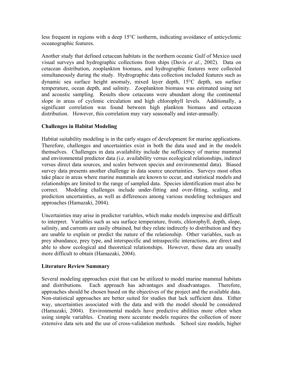less frequent in regions with a deep 15°C isotherm, indicating avoidance of anticyclonic oceanographic features.

Another study that defined cetacean habitats in the northern oceanic Gulf of Mexico used visual surveys and hydrographic collections from ships (Davis *et al.*, 2002). Data on cetacean distribution, zooplankton biomass, and hydrographic features were collected simultaneously during the study. Hydrographic data collection included features such as dynamic sea surface height anomaly, mixed layer depth, 15°C depth, sea surface temperature, ocean depth, and salinity. Zooplankton biomass was estimated using net and acoustic sampling. Results show cetaceans were abundant along the continental slope in areas of cyclonic circulation and high chlorophyll levels. Additionally, a significant correlation was found between high plankton biomass and cetacean distribution. However, this correlation may vary seasonally and inter-annually.

#### **Challenges in Habitat Modeling**

Habitat suitability modeling is in the early stages of development for marine applications. Therefore, challenges and uncertainties exist in both the data used and in the models themselves. Challenges in data availability include the sufficiency of marine mammal and environmental predictor data (i.e. availability versus ecological relationships, indirect versus direct data sources, and scales between species and environmental data). Biased survey data presents another challenge in data source uncertainties. Surveys most often take place in areas where marine mammals are known to occur, and statistical models and relationships are limited to the range of sampled data. Species identification must also be correct. Modeling challenges include under-fitting and over-fitting, scaling, and prediction uncertainties, as well as differences among various modeling techniques and approaches (Hamazaki, 2004).

Uncertainties may arise in predictor variables, which make models imprecise and difficult to interpret. Variables such as sea surface temperature, fronts, chlorophyll, depth, slope, salinity, and currents are easily obtained, but they relate indirectly to distribution and they are unable to explain or predict the nature of the relationship. Other variables, such as prey abundance, prey type, and interspecific and intraspecific interactions, are direct and able to show ecological and theoretical relationships. However, these data are usually more difficult to obtain (Hamazaki, 2004).

#### **Literature Review Summary**

Several modeling approaches exist that can be utilized to model marine mammal habitats and distributions. Each approach has advantages and disadvantages. Therefore, approaches should be chosen based on the objectives of the project and the available data. Non-statistical approaches are better suited for studies that lack sufficient data. Either way, uncertainties associated with the data and with the model should be considered (Hamazaki, 2004). Environmental models have predictive abilities more often when using simple variables. Creating more accurate models requires the collection of more extensive data sets and the use of cross-validation methods. School size models, higher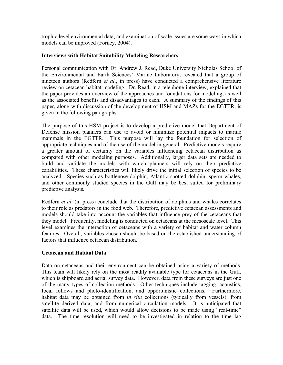trophic level environmental data, and examination of scale issues are some ways in which models can be improved (Forney, 2004).

#### **Interviews with Habitat Suitability Modeling Researchers**

Personal communication with Dr. Andrew J. Read, Duke University Nicholas School of the Environmental and Earth Sciences' Marine Laboratory, revealed that a group of nineteen authors (Redfern *et al*., in press) have conducted a comprehensive literature review on cetacean habitat modeling. Dr. Read, in a telephone interview, explained that the paper provides an overview of the approaches and foundations for modeling, as well as the associated benefits and disadvantages to each. A summary of the findings of this paper, along with discussion of the development of HSM and MAZs for the EGTTR, is given in the following paragraphs.

The purpose of this HSM project is to develop a predictive model that Department of Defense mission planners can use to avoid or minimize potential impacts to marine mammals in the EGTTR. This purpose will lay the foundation for selection of appropriate techniques and of the use of the model in general. Predictive models require a greater amount of certainty on the variables influencing cetacean distribution as compared with other modeling purposes. Additionally, larger data sets are needed to build and validate the models with which planners will rely on their predictive capabilities. These characteristics will likely drive the initial selection of species to be analyzed. Species such as bottlenose dolphin, Atlantic spotted dolphin, sperm whales, and other commonly studied species in the Gulf may be best suited for preliminary predictive analysis.

Redfern *et al*. (in press) conclude that the distribution of dolphins and whales correlates to their role as predators in the food web. Therefore, predictive cetacean assessments and models should take into account the variables that influence prey of the cetaceans that they model. Frequently, modeling is conducted on cetaceans at the mesoscale level. This level examines the interaction of cetaceans with a variety of habitat and water column features. Overall, variables chosen should be based on the established understanding of factors that influence cetacean distribution.

#### **Cetacean and Habitat Data**

Data on cetaceans and their environment can be obtained using a variety of methods. This team will likely rely on the most readily available type for cetaceans in the Gulf, which is shipboard and aerial survey data. However, data from these surveys are just one of the many types of collection methods. Other techniques include tagging, acoustics, focal follows and photo-identification, and opportunistic collections. Furthermore, habitat data may be obtained from *in situ* collections (typically from vessels), from satellite derived data, and from numerical circulation models. It is anticipated that satellite data will be used, which would allow decisions to be made using "real-time" data. The time resolution will need to be investigated in relation to the time lag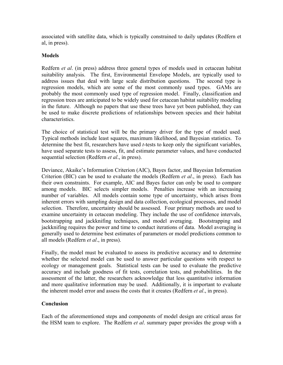associated with satellite data, which is typically constrained to daily updates (Redfern et al, in press).

#### **Models**

Redfern *et al*. (in press) address three general types of models used in cetacean habitat suitability analysis. The first, Environmental Envelope Models, are typically used to address issues that deal with large scale distribution questions. The second type is regression models, which are some of the most commonly used types. GAMs are probably the most commonly used type of regression model. Finally, classification and regression trees are anticipated to be widely used for cetacean habitat suitability modeling in the future. Although no papers that use these trees have yet been published, they can be used to make discrete predictions of relationships between species and their habitat characteristics.

The choice of statistical test will be the primary driver for the type of model used. Typical methods include least squares, maximum likelihood, and Bayesian statistics. To determine the best fit, researchers have used *t*-tests to keep only the significant variables, have used separate tests to assess, fit, and estimate parameter values, and have conducted sequential selection (Redfern *et al*., in press).

Deviance, Akaike's Information Criterion (AIC), Bayes factor, and Bayesian Information Criterion (BIC) can be used to evaluate the models (Redfern *et al*., in press). Each has their own constraints. For example, AIC and Bayes factor can only be used to compare among models. BIC selects simpler models. Penalties increase with an increasing number of variables. All models contain some type of uncertainty, which arises from inherent errors with sampling design and data collection, ecological processes, and model selection. Therefore, uncertainty should be assessed. Four primary methods are used to examine uncertainty in cetacean modeling. They include the use of confidence intervals, bootstrapping and jackknifing techniques, and model averaging. Bootstrapping and jackknifing requires the power and time to conduct iterations of data. Model averaging is generally used to determine best estimates of parameters or model predictions common to all models (Redfern *et al*., in press).

Finally, the model must be evaluated to assess its predictive accuracy and to determine whether the selected model can be used to answer particular questions with respect to ecology or management goals. Statistical tests can be used to evaluate the predictive accuracy and include goodness of fit tests, correlation tests, and probabilities. In the assessment of the latter, the researchers acknowledge that less quantitative information and more qualitative information may be used. Additionally, it is important to evaluate the inherent model error and assess the costs that it creates (Redfern *et al*., in press).

#### **Conclusion**

Each of the aforementioned steps and components of model design are critical areas for the HSM team to explore. The Redfern *et al*. summary paper provides the group with a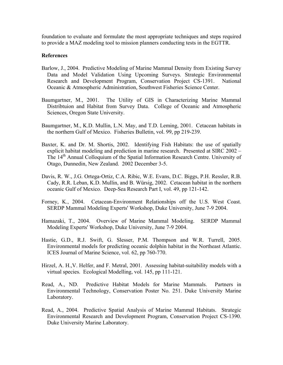foundation to evaluate and formulate the most appropriate techniques and steps required to provide a MAZ modeling tool to mission planners conducting tests in the EGTTR.

#### **References**

- Barlow, J., 2004. Predictive Modeling of Marine Mammal Density from Existing Survey Data and Model Validation Using Upcoming Surveys. Strategic Environmental Research and Development Program, Conservation Project CS-1391. National Oceanic & Atmospheric Administration, Southwest Fisheries Science Center.
- Baumgartner, M., 2001. The Utility of GIS in Characterizing Marine Mammal Distribtuion and Habitat from Survey Data. College of Oceanic and Atmospheric Sciences, Oregon State University.
- Baumgartner, M., K.D. Mullin, L.N. May, and T.D. Leming, 2001. Cetacean habitats in the northern Gulf of Mexico. Fisheries Bulletin, vol. 99, pp 219-239.
- Baxter, K. and Dr. M. Shortis, 2002. Identifying Fish Habitats: the use of spatially explicit habitat modeling and prediction in marine research. Presented at SIRC 2002 – The 14<sup>th</sup> Annual Colloquium of the Spatial Information Research Centre. University of Otago, Dunnedin, New Zealand. 2002 December 3-5.
- Davis, R. W., J.G. Ortega-Ortiz, C.A. Ribic, W.E. Evans, D.C. Biggs, P.H. Ressler, R.B. Cady, R.R. Leban, K.D. Mullin, and B. Würsig, 2002. Cetacean habitat in the northern oceanic Gulf of Mexico. Deep-Sea Research Part I, vol. 49, pp 121-142.
- Forney, K., 2004. Cetacean-Environment Relationships off the U.S. West Coast. SERDP Mammal Modeling Experts' Workshop, Duke University, June 7-9 2004.
- Hamazaki, T., 2004. Overview of Marine Mammal Modeling. SERDP Mammal Modeling Experts' Workshop, Duke University, June 7-9 2004.
- Hastie, G.D., R.J. Swift, G. Slesser, P.M. Thompson and W.R. Turrell, 2005. Environmental models for predicting oceanic dolphin habitat in the Northeast Atlantic. ICES Journal of Marine Science, vol. 62, pp 760-770.
- Hirzel, A. H.,V. Helfer, and F. Metral, 2001. Assessing habitat-suitability models with a virtual species. Ecological Modelling, vol. 145, pp 111-121.
- Read, A., ND. Predictive Habitat Models for Marine Mammals. Partners in Environmental Technology, Conservation Poster No. 251. Duke University Marine Laboratory.
- Read, A., 2004. Predictive Spatial Analysis of Marine Mammal Habitats. Strategic Environmental Research and Development Program, Conservation Project CS-1390. Duke University Marine Laboratory.